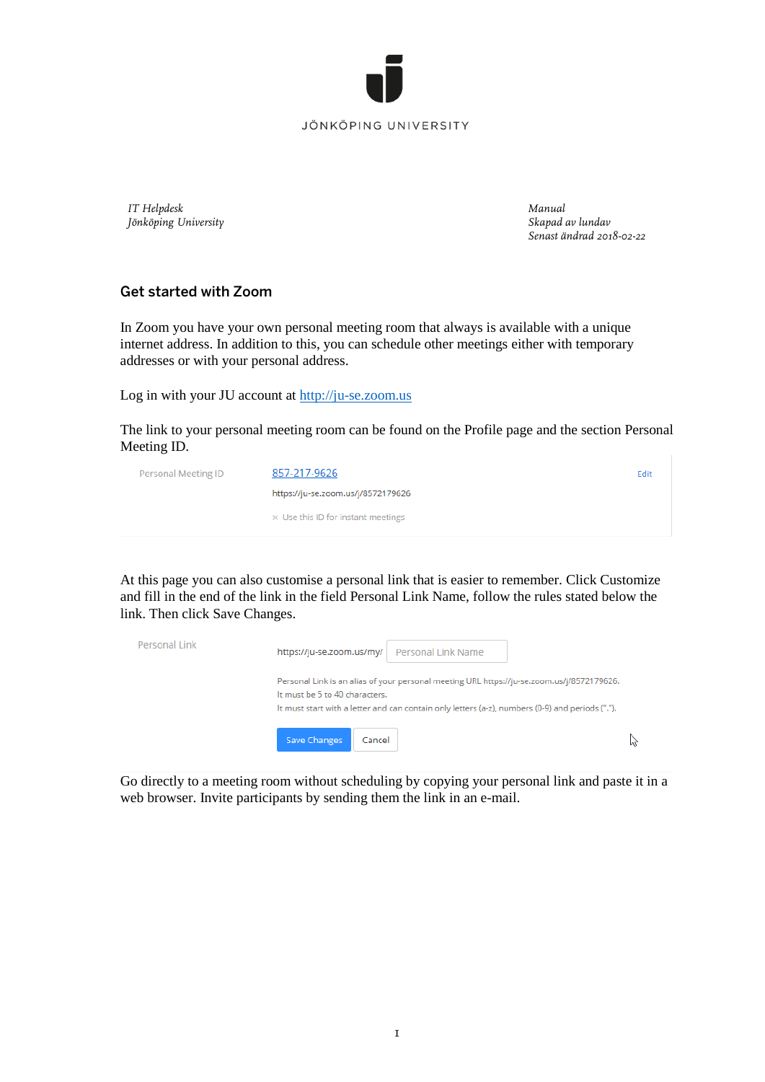

*IT Helpdesk Jönköping University*

*Manual Skapad av lundav Senast ändrad 2018-02-22*

# Get started with Zoom

In Zoom you have your own personal meeting room that always is available with a unique internet address. In addition to this, you can schedule other meetings either with temporary addresses or with your personal address.

Log in with your JU account at [http://ju-se.zoom.us](http://ju-se.zoom.us/)

The link to your personal meeting room can be found on the Profile page and the section Personal Meeting ID.

| Personal Meeting ID | 857-217-9626                       | Edit |
|---------------------|------------------------------------|------|
|                     | https://ju-se.zoom.us/j/8572179626 |      |
|                     | × Use this ID for instant meetings |      |

At this page you can also customise a personal link that is easier to remember. Click Customize and fill in the end of the link in the field Personal Link Name, follow the rules stated below the link. Then click Save Changes.



Go directly to a meeting room without scheduling by copying your personal link and paste it in a web browser. Invite participants by sending them the link in an e-mail.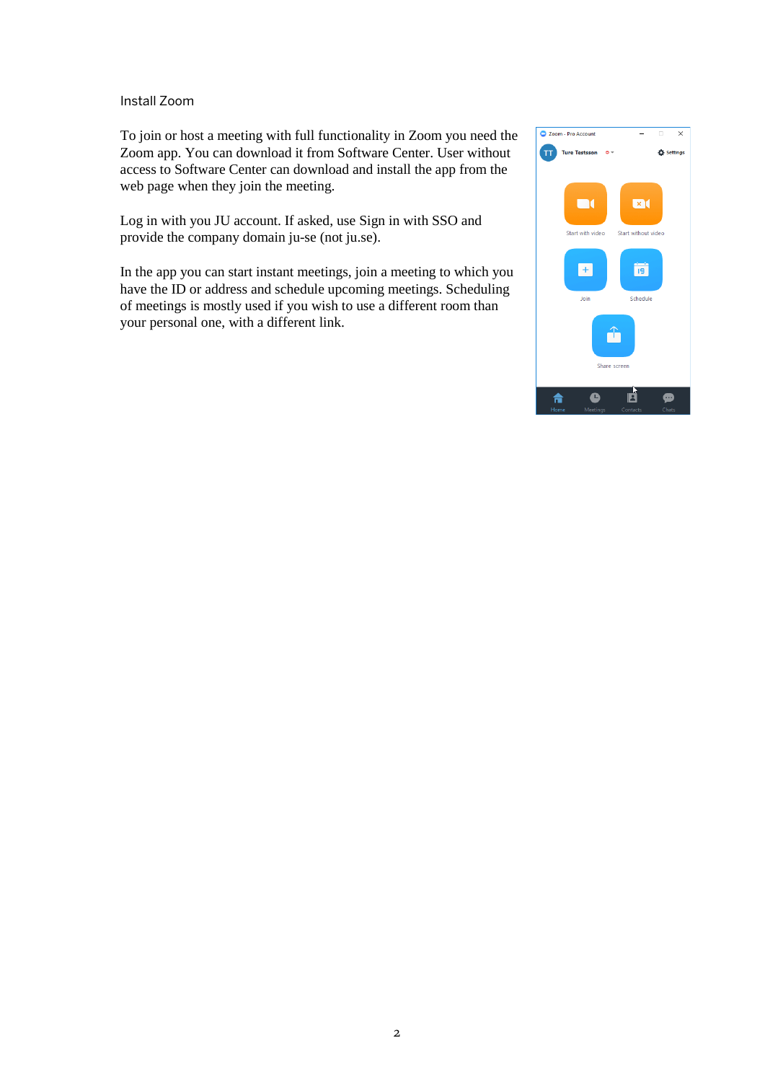#### Install Zoom

To join or host a meeting with full functionality in Zoom you need the Zoom app. You can download it from Software Center. User without access to Software Center can download and install the app from the web page when they join the meeting.

Log in with you JU account. If asked, use Sign in with SSO and provide the company domain ju-se (not ju.se).

In the app you can start instant meetings, join a meeting to which you have the ID or address and schedule upcoming meetings. Scheduling of meetings is mostly used if you wish to use a different room than your personal one, with a different link.

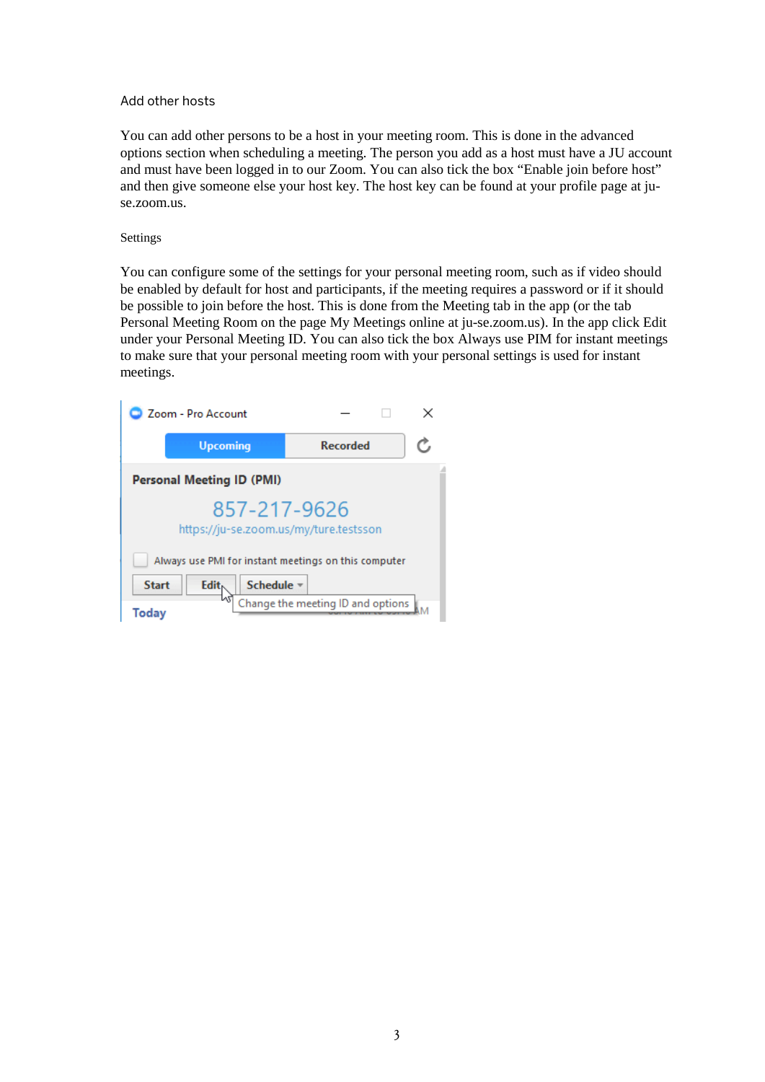## Add other hosts

You can add other persons to be a host in your meeting room. This is done in the advanced options section when scheduling a meeting. The person you add as a host must have a JU account and must have been logged in to our Zoom. You can also tick the box "Enable join before host" and then give someone else your host key. The host key can be found at your profile page at juse.zoom.us.

### Settings

You can configure some of the settings for your personal meeting room, such as if video should be enabled by default for host and participants, if the meeting requires a password or if it should be possible to join before the host. This is done from the Meeting tab in the app (or the tab Personal Meeting Room on the page My Meetings online at ju-se.zoom.us). In the app click Edit under your Personal Meeting ID. You can also tick the box Always use PIM for instant meetings to make sure that your personal meeting room with your personal settings is used for instant meetings.